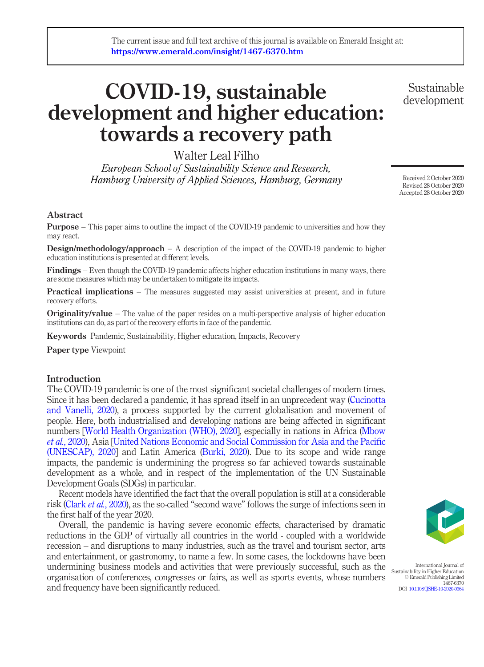# COVID-19, sustainable development and higher education: towards a recovery path

Walter Leal Filho

European School of Sustainability Science and Research, Hamburg University of Applied Sciences, Hamburg, Germany

Received 2 October 2020 Revised 28 October 2020 Accepted 28 October 2020

Sustainable development

#### Abstract

Purpose – This paper aims to outline the impact of the COVID-19 pandemic to universities and how they may react.

**Design/methodology/approach** – A description of the impact of the COVID-19 pandemic to higher education institutions is presented at different levels.

Findings – Even though the COVID-19 pandemic affects higher education institutions in many ways, there are some measures which may be undertaken to mitigate its impacts.

Practical implications – The measures suggested may assist universities at present, and in future recovery efforts.

**Originality/value** – The value of the paper resides on a multi-perspective analysis of higher education institutions can do, as part of the recovery efforts in face of the pandemic.

Keywords Pandemic, Sustainability, Higher education, Impacts, Recovery

Paper type Viewpoint

#### Introduction

The COVID-19 pandemic is one of the most significant societal challenges of modern times. Since it has been declared a pandemic, it has spread itself in an unprecedent way ([Cucinotta](#page-3-0) [and Vanelli, 2020\)](#page-3-0), a process supported by the current globalisation and movement of people. Here, both industrialised and developing nations are being affected in significant numbers [\[World Health Organization \(WHO\), 2020\]](#page-3-1), especially in nations in Africa [\(Mbow](#page-3-2) et al.[, 2020](#page-3-2)), Asia [[United Nations Economic and Social Commission for Asia and the Paci](#page-3-3)fic [\(UNESCAP\), 2020\]](#page-3-3) and Latin America [\(Burki, 2020\)](#page-2-0). Due to its scope and wide range impacts, the pandemic is undermining the progress so far achieved towards sustainable development as a whole, and in respect of the implementation of the UN Sustainable Development Goals (SDGs) in particular.

Recent models have identified the fact that the overall population is still at a considerable risk (Clark et al.[, 2020\)](#page-2-1), as the so-called "second wave" follows the surge of infections seen in the first half of the year 2020.

Overall, the pandemic is having severe economic effects, characterised by dramatic reductions in the GDP of virtually all countries in the world - coupled with a worldwide recession – and disruptions to many industries, such as the travel and tourism sector, arts and entertainment, or gastronomy, to name a few. In some cases, the lockdowns have been undermining business models and activities that were previously successful, such as the organisation of conferences, congresses or fairs, as well as sports events, whose numbers and frequency have been significantly reduced.



International Journal of Sustainability in Higher Education © Emerald Publishing Limited 1467-6370 DOI [10.1108/IJSHE-10-2020-0364](http://dx.doi.org/10.1108/IJSHE-10-2020-0364)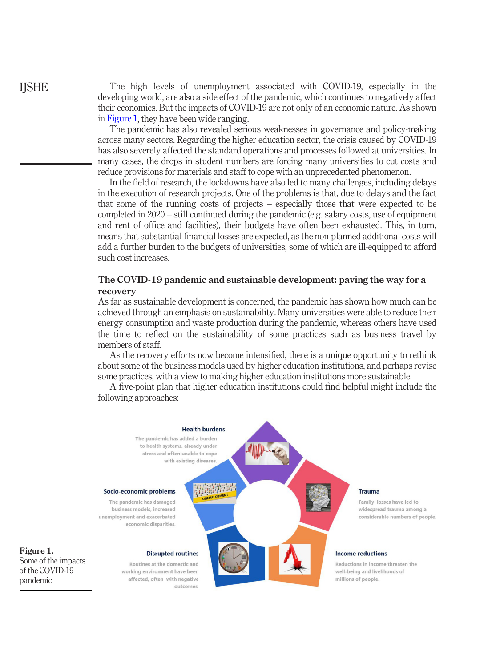<span id="page-1-0"></span>Figure 1.

pandemic

The high levels of unemployment associated with COVID-19, especially in the developing world, are also a side effect of the pandemic, which continues to negatively affect their economies. But the impacts of COVID-19 are not only of an economic nature. As shown in [Figure 1](#page-1-0), they have been wide ranging.

The pandemic has also revealed serious weaknesses in governance and policy-making across many sectors. Regarding the higher education sector, the crisis caused by COVID-19 has also severely affected the standard operations and processes followed at universities. In many cases, the drops in student numbers are forcing many universities to cut costs and reduce provisions for materials and staff to cope with an unprecedented phenomenon.

In the field of research, the lockdowns have also led to many challenges, including delays in the execution of research projects. One of the problems is that, due to delays and the fact that some of the running costs of projects – especially those that were expected to be completed in 2020 – still continued during the pandemic (e.g. salary costs, use of equipment and rent of office and facilities), their budgets have often been exhausted. This, in turn, means that substantial financial losses are expected, as the non-planned additional costs will add a further burden to the budgets of universities, some of which are ill-equipped to afford such cost increases.

### The COVID-19 pandemic and sustainable development: paving the way for a recovery

As far as sustainable development is concerned, the pandemic has shown how much can be achieved through an emphasis on sustainability. Many universities were able to reduce their energy consumption and waste production during the pandemic, whereas others have used the time to reflect on the sustainability of some practices such as business travel by members of staff.

As the recovery efforts now become intensified, there is a unique opportunity to rethink about some of the business models used by higher education institutions, and perhaps revise some practices, with a view to making higher education institutions more sustainable.

A five-point plan that higher education institutions could find helpful might include the following approaches:

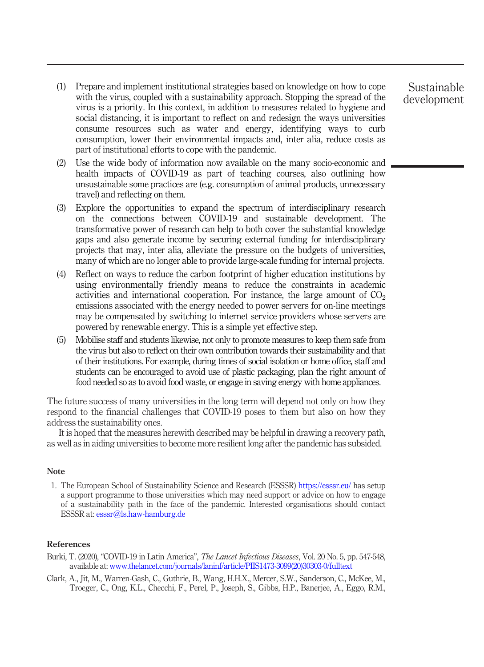- (1) Prepare and implement institutional strategies based on knowledge on how to cope with the virus, coupled with a sustainability approach. Stopping the spread of the virus is a priority. In this context, in addition to measures related to hygiene and social distancing, it is important to reflect on and redesign the ways universities consume resources such as water and energy, identifying ways to curb consumption, lower their environmental impacts and, inter alia, reduce costs as part of institutional efforts to cope with the pandemic.
- (2) Use the wide body of information now available on the many socio-economic and health impacts of COVID-19 as part of teaching courses, also outlining how unsustainable some practices are (e.g. consumption of animal products, unnecessary travel) and reflecting on them.
- (3) Explore the opportunities to expand the spectrum of interdisciplinary research on the connections between COVID-19 and sustainable development. The transformative power of research can help to both cover the substantial knowledge gaps and also generate income by securing external funding for interdisciplinary projects that may, inter alia, alleviate the pressure on the budgets of universities, many of which are no longer able to provide large-scale funding for internal projects.
- (4) Reflect on ways to reduce the carbon footprint of higher education institutions by using environmentally friendly means to reduce the constraints in academic activities and international cooperation. For instance, the large amount of  $CO<sub>2</sub>$ emissions associated with the energy needed to power servers for on-line meetings may be compensated by switching to internet service providers whose servers are powered by renewable energy. This is a simple yet effective step.
- (5) Mobilise staff and students likewise, not only to promote measures to keep them safe from the virus but also to reflect on their own contribution towards their sustainability and that of their institutions. For example, during times of social isolation or home office, staff and students can be encouraged to avoid use of plastic packaging, plan the right amount of food needed so as to avoid food waste, or engage in saving energy with home appliances.

The future success of many universities in the long term will depend not only on how they respond to the financial challenges that COVID-19 poses to them but also on how they address the sustainability ones.

It is hoped that the measures herewith described may be helpful in drawing a recovery path, as well as in aiding universities to become more resilient long after the pandemic has subsided.

#### Note

1. The European School of Sustainability Science and Research (ESSSR) <https://esssr.eu/> has setup a support programme to those universities which may need support or advice on how to engage of a sustainability path in the face of the pandemic. Interested organisations should contact ESSSR at: [esssr@ls.haw-hamburg.de](mailto:esssr@ls.haw-hamburg.de)

#### References

- <span id="page-2-0"></span>Burki, T. (2020), "COVID-19 in Latin America", The Lancet Infectious Diseases, Vol. 20 No. 5, pp. 547-548, available at: [www.thelancet.com/journals/laninf/article/PIIS1473-3099\(20\)30303-0/fulltext](http://www.thelancet.com/journals/laninf/article/PIIS1473-3099(20)30303-0/fulltext)
- <span id="page-2-1"></span>Clark, A., Jit, M., Warren-Gash, C., Guthrie, B., Wang, H.H.X., Mercer, S.W., Sanderson, C., McKee, M., Troeger, C., Ong, K.L., Checchi, F., Perel, P., Joseph, S., Gibbs, H.P., Banerjee, A., Eggo, R.M.,

Sustainable development